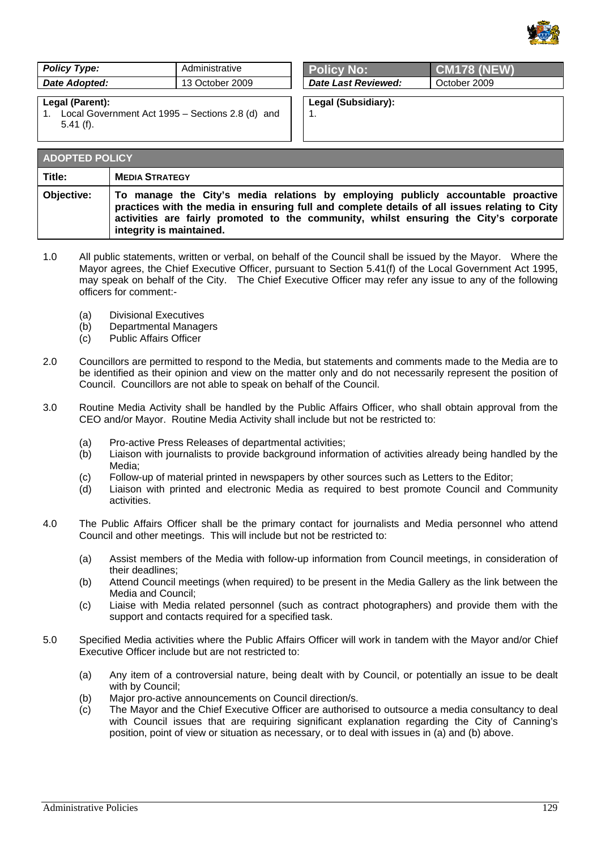

| Policy Type:    | Administrative  | <b>Policy No:</b>   | <b>CM178 (NEW)</b> |
|-----------------|-----------------|---------------------|--------------------|
| Date Adopted:   | 13 October 2009 | Date Last Reviewed: | October 2009       |
| Legal (Parent): |                 | Legal (Subsidiary): |                    |

1.

## **Legal (Parent):**

1. Local Government Act 1995 – Sections 2.8 (d) and 5.41 (f).

| <b>ADOPTED POLICY</b> |                                                                                                                                                                                                                                                                                                        |  |
|-----------------------|--------------------------------------------------------------------------------------------------------------------------------------------------------------------------------------------------------------------------------------------------------------------------------------------------------|--|
| Title:                | <b>MEDIA STRATEGY</b>                                                                                                                                                                                                                                                                                  |  |
| Objective:            | To manage the City's media relations by employing publicly accountable proactive<br>practices with the media in ensuring full and complete details of all issues relating to City<br>activities are fairly promoted to the community, whilst ensuring the City's corporate<br>integrity is maintained. |  |

- 1.0 All public statements, written or verbal, on behalf of the Council shall be issued by the Mayor. Where the Mayor agrees, the Chief Executive Officer, pursuant to Section 5.41(f) of the Local Government Act 1995, may speak on behalf of the City. The Chief Executive Officer may refer any issue to any of the following officers for comment:-
	- (a) Divisional Executives
	- (b) Departmental Managers
	- (c) Public Affairs Officer
- 2.0 Councillors are permitted to respond to the Media, but statements and comments made to the Media are to be identified as their opinion and view on the matter only and do not necessarily represent the position of Council. Councillors are not able to speak on behalf of the Council.
- 3.0 Routine Media Activity shall be handled by the Public Affairs Officer, who shall obtain approval from the CEO and/or Mayor. Routine Media Activity shall include but not be restricted to:
	- (a) Pro-active Press Releases of departmental activities;
	- (b) Liaison with journalists to provide background information of activities already being handled by the Media;
	- (c) Follow-up of material printed in newspapers by other sources such as Letters to the Editor;
	- (d) Liaison with printed and electronic Media as required to best promote Council and Community activities.
- 4.0 The Public Affairs Officer shall be the primary contact for journalists and Media personnel who attend Council and other meetings. This will include but not be restricted to:
	- (a) Assist members of the Media with follow-up information from Council meetings, in consideration of their deadlines;
	- (b) Attend Council meetings (when required) to be present in the Media Gallery as the link between the Media and Council;
	- (c) Liaise with Media related personnel (such as contract photographers) and provide them with the support and contacts required for a specified task.
- 5.0 Specified Media activities where the Public Affairs Officer will work in tandem with the Mayor and/or Chief Executive Officer include but are not restricted to:
	- (a) Any item of a controversial nature, being dealt with by Council, or potentially an issue to be dealt with by Council;
	- (b) Major pro-active announcements on Council direction/s.
	- (c) The Mayor and the Chief Executive Officer are authorised to outsource a media consultancy to deal with Council issues that are requiring significant explanation regarding the City of Canning's position, point of view or situation as necessary, or to deal with issues in (a) and (b) above.